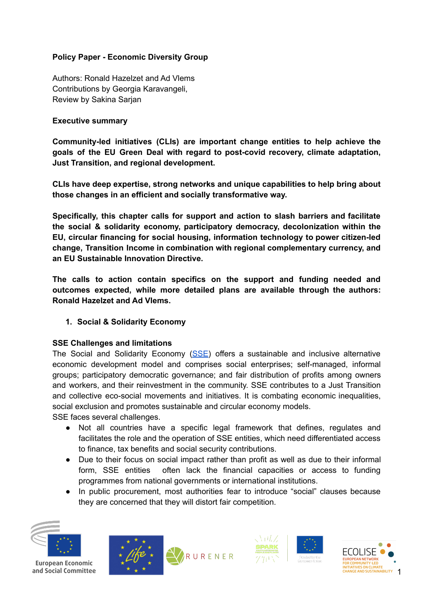### **Policy Paper - Economic Diversity Group**

Authors: Ronald Hazelzet and Ad Vlems Contributions by Georgia Karavangeli, Review by Sakina Sarjan

#### **Executive summary**

**Community-led initiatives (CLIs) are important change entities to help achieve the goals of the EU Green Deal with regard to post-covid recovery, climate adaptation, Just Transition, and regional development.**

**CLIs have deep expertise, strong networks and unique capabilities to help bring about those changes in an efficient and socially transformative way.**

**Specifically, this chapter calls for support and action to slash barriers and facilitate the social & solidarity economy, participatory democracy, decolonization within the EU, circular financing for social housing, information technology to power citizen-led change, Transition Income in combination with regional complementary currency, and an EU Sustainable Innovation Directive.**

**The calls to action contain specifics on the support and funding needed and outcomes expected, while more detailed plans are available through the authors: Ronald Hazelzet and Ad Vlems.**

### **1. Social & Solidarity Economy**

### **SSE Challenges and limitations**

The Social and Solidarity Economy [\(SSE](http://wiki.ecolise.eu/index.php?title=Solidarity_economy#Solidarity_Economy_and_Community-led_Initiatives)) offers a sustainable and inclusive alternative economic development model and comprises social enterprises; self-managed, informal groups; participatory democratic governance; and fair distribution of profits among owners and workers, and their reinvestment in the community. SSE contributes to a Just Transition and collective eco-social movements and initiatives. It is combating economic inequalities, social exclusion and promotes sustainable and circular economy models.

SSE faces several challenges.

- Not all countries have a specific legal framework that defines, regulates and facilitates the role and the operation of SSE entities, which need differentiated access to finance, tax benefits and social security contributions.
- Due to their focus on social impact rather than profit as well as due to their informal form, SSE entities often lack the financial capacities or access to funding programmes from national governments or international institutions.
- In public procurement, most authorities fear to introduce "social" clauses because they are concerned that they will distort fair competition.









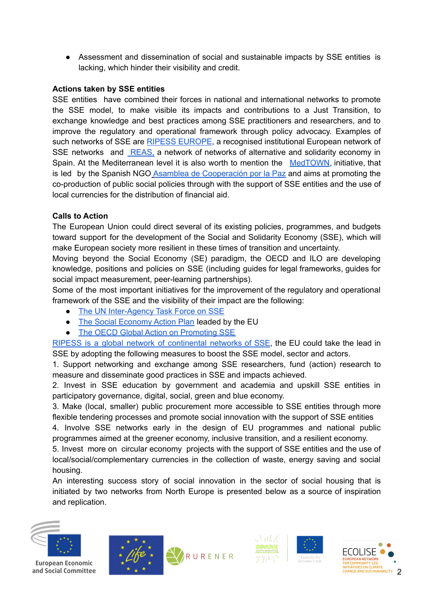● Assessment and dissemination of social and sustainable impacts by SSE entities is lacking, which hinder their visibility and credit.

#### **Actions taken by SSE entities**

SSE entities have combined their forces in national and international networks to promote the SSE model, to make visible its impacts and contributions to a Just Transition, to exchange knowledge and best practices among SSE practitioners and researchers, and to improve the regulatory and operational framework through policy advocacy. Examples of such networks of SSE are RIPESS [EUROPE](https://ripess.eu/en/), a recognised institutional European network of SSE networks and **REAS**, a network of networks of alternative and solidarity economy in Spain. At the Mediterranean level it is also worth to mention the [MedTOWN,](http://www.enicbcmed.eu/projects/medtown) initiative, that is led by the Spanish NGO Asamblea de [Cooperación](https://www.acpp.com/) por la Paz and aims at promoting the co-production of public social policies through with the support of SSE entities and the use of local currencies for the distribution of financial aid.

### **Calls to Action**

The European Union could direct several of its existing policies, programmes, and budgets toward support for the development of the Social and Solidarity Economy (SSE), which will make European society more resilient in these times of transition and uncertainty.

Moving beyond the Social Economy (SE) paradigm, the OECD and ILO are developing knowledge, positions and policies on SSE (including guides for legal frameworks, guides for social impact measurement, peer-learning partnerships).

Some of the most important initiatives for the improvement of the regulatory and operational framework of the SSE and the visibility of their impact are the following:

- The UN [Inter-Agency](https://unsse.org/) Task Force on SSE
- The Social [Economy](https://ec.europa.eu/social/main.jsp?catId=1537&langId=en) Action Plan leaded by the EU
- The OECD Global Action on [Promoting](https://www.oecd.org/cfe/leed/fpi-action.htm) SSE

RIPESS is a global network of [continental](http://www.ripess.org/who-are-we/about-ripess/?lang=en) networks of SSE, the EU could take the lead in SSE by adopting the following measures to boost the SSE model, sector and actors.

1. Support networking and exchange among SSE researchers, fund (action) research to measure and disseminate good practices in SSE and impacts achieved.

2. Invest in SSE education by government and academia and upskill SSE entities in participatory governance, digital, social, green and blue economy.

3. Make (local, smaller) public procurement more accessible to SSE entities through more flexible tendering processes and promote social innovation with the support of SSE entities

4. Involve SSE networks early in the design of EU programmes and national public programmes aimed at the greener economy, inclusive transition, and a resilient economy.

5. Invest more on circular economy projects with the support of SSE entities and the use of local/social/complementary currencies in the collection of waste, energy saving and social housing.

An interesting success story of social innovation in the sector of social housing that is initiated by two networks from North Europe is presented below as a source of inspiration and replication.









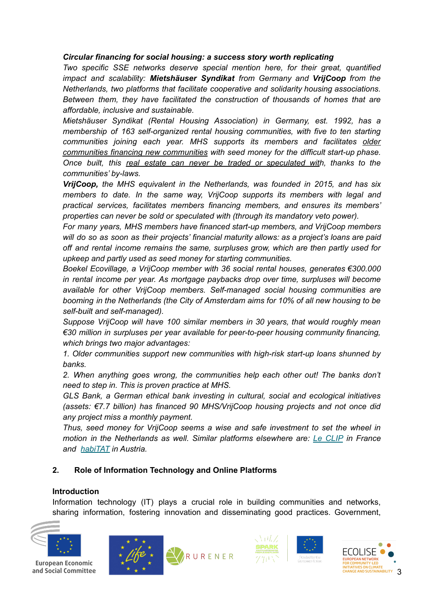#### *Circular financing for social housing: a success story worth replicating*

*Two specific SSE networks deserve special mention here, for their great, quantified impact and scalability: Mietshäuser Syndikat from Germany and VrijCoop from the Netherlands, two platforms that facilitate cooperative and solidarity housing associations. Between them, they have facilitated the construction of thousands of homes that are affordable, inclusive and sustainable.*

*Mietshäuser Syndikat (Rental Housing Association) in Germany, est. 1992, has a membership of 163 self-organized rental housing communities, with five to ten starting communities joining each year. MHS supports its members and facilitates older communities financing new communities with seed money for the difficult start-up phase. Once built, this real estate can never be traded or speculated with, thanks to the communities' by-laws.*

*VrijCoop, the MHS equivalent in the Netherlands, was founded in 2015, and has six members to date. In the same way, VrijCoop supports its members with legal and practical services, facilitates members financing members, and ensures its members' properties can never be sold or speculated with (through its mandatory veto power).*

*For many years, MHS members have financed start-up members, and VrijCoop members will do so as soon as their projects' financial maturity allows: as a project's loans are paid off and rental income remains the same, surpluses grow, which are then partly used for upkeep and partly used as seed money for starting communities.*

*Boekel Ecovillage, a VrijCoop member with 36 social rental houses, generates €300.000 in rental income per year. As mortgage paybacks drop over time, surpluses will become available for other VrijCoop members. Self-managed social housing communities are booming in the Netherlands (the City of Amsterdam aims for 10% of all new housing to be self-built and self-managed).*

*Suppose VrijCoop will have 100 similar members in 30 years, that would roughly mean €30 million in surpluses per year available for peer-to-peer housing community financing, which brings two major advantages:*

*1. Older communities support new communities with high-risk start-up loans shunned by banks.*

*2. When anything goes wrong, the communities help each other out! The banks don't need to step in. This is proven practice at MHS.*

*GLS Bank, a German ethical bank investing in cultural, social and ecological initiatives (assets: €7.7 billion) has financed 90 MHS/VrijCoop housing projects and not once did any project miss a monthly payment.*

*Thus, seed money for VrijCoop seems a wise and safe investment to set the wheel in motion in the Netherlands as well. Similar platforms elsewhere are: Le [CLIP](http://clip.ouvaton.org/) in France and [habiTAT](http://habitat.servus.at/) in Austria.*

### **2. Role of Information Technology and Online Platforms**

### **Introduction**

Information technology (IT) plays a crucial role in building communities and networks, sharing information, fostering innovation and disseminating good practices. Government,









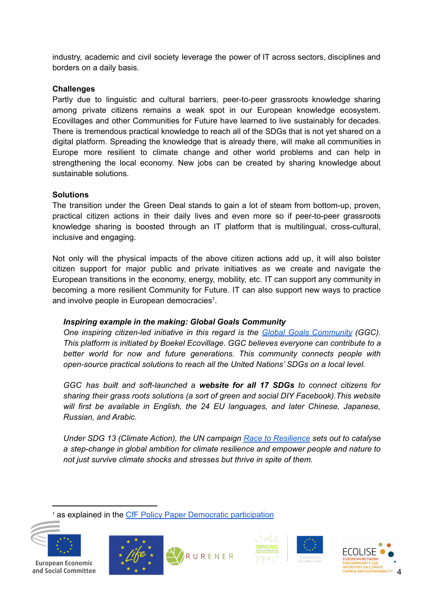industry, academic and civil society leverage the power of IT across sectors, disciplines and borders on a daily basis.

#### **Challenges**

Partly due to linguistic and cultural barriers, peer-to-peer grassroots knowledge sharing among private citizens remains a weak spot in our European knowledge ecosystem. Ecovillages and other Communities for Future have learned to live sustainably for decades. There is tremendous practical knowledge to reach all of the SDGs that is not yet shared on a digital platform. Spreading the knowledge that is already there, will make all communities in Europe more resilient to climate change and other world problems and can help in strengthening the local economy. New jobs can be created by sharing knowledge about sustainable solutions.

#### **Solutions**

The transition under the Green Deal stands to gain a lot of steam from bottom-up, proven, practical citizen actions in their daily lives and even more so if peer-to-peer grassroots knowledge sharing is boosted through an IT platform that is multilingual, cross-cultural, inclusive and engaging.

Not only will the physical impacts of the above citizen actions add up, it will also bolster citizen support for major public and private initiatives as we create and navigate the European transitions in the economy, energy, mobility, etc. IT can support any community in becoming a more resilient Community for Future. IT can also support new ways to practice and involve people in European democracies<sup>1</sup>.

### *Inspiring example in the making: Global Goals Community*

*One inspiring citizen-led initiative in this regard is the Global Goals [Community](https://globalgoalscommunity.eu/) (GGC). This platform is initiated by Boekel Ecovillage. GGC believes everyone can contribute to a better world for now and future generations. This community connects people with open-source practical solutions to reach all the United Nations' SDGs on a local level.*

*GGC has built and soft-launched a website for all 17 SDGs to connect citizens for sharing their grass roots solutions (a sort of green and social DIY Facebook).This website will first be available in English, the 24 EU languages, and later Chinese, Japanese, Russian, and Arabic.*

*Under SDG 13 (Climate Action), the UN campaign Race to [Resilience](https://racetozero.unfccc.int/race-to-resilience/) sets out to catalyse a step-change in global ambition for climate resilience and empower people and nature to not just survive climate shocks and stresses but thrive in spite of them.*

<sup>1</sup> as explained in the CfF Policy Paper Democratic [participation](https://drive.google.com/file/d/1ZgzXQdS_7rvXB1XGN-P5VF_mia5AOYXp/view?usp=sharing)









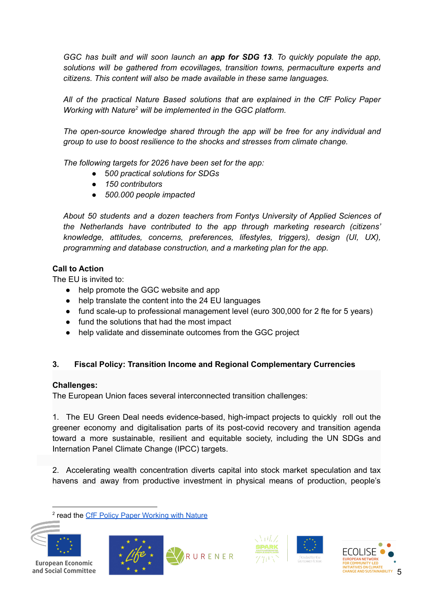*GGC has built and will soon launch an app for SDG 13. To quickly populate the app, solutions will be gathered from ecovillages, transition towns, permaculture experts and citizens. This content will also be made available in these same languages.*

*All of the practical Nature Based solutions that are explained in the CfF Policy Paper Working with Nature <sup>2</sup> will be implemented in the GGC platform.*

*The open-source knowledge shared through the app will be free for any individual and group to use to boost resilience to the shocks and stresses from climate change.*

*The following targets for 2026 have been set for the app:*

- 5*00 practical solutions for SDGs*
- *150 contributors*
- *500.000 people impacted*

*About 50 students and a dozen teachers from Fontys University of Applied Sciences of the Netherlands have contributed to the app through marketing research (citizens' knowledge, attitudes, concerns, preferences, lifestyles, triggers), design (UI, UX), programming and database construction, and a marketing plan for the app.*

### **Call to Action**

The EU is invited to:

- help promote the GGC website and app
- help translate the content into the 24 EU languages
- fund scale-up to professional management level (euro 300,000 for 2 fte for 5 years)
- fund the solutions that had the most impact
- help validate and disseminate outcomes from the GGC project

# **3. Fiscal Policy: Transition Income and Regional Complementary Currencies**

### **Challenges:**

The European Union faces several interconnected transition challenges:

1. The EU Green Deal needs evidence-based, high-impact projects to quickly roll out the greener economy and digitalisation parts of its post-covid recovery and transition agenda toward a more sustainable, resilient and equitable society, including the UN SDGs and Internation Panel Climate Change (IPCC) targets.

2. Accelerating wealth concentration diverts capital into stock market speculation and tax havens and away from productive investment in physical means of production, people's

<sup>2</sup> read the CfF Policy Paper [Working](https://drive.google.com/file/d/1uYw2iLbX0KyE8W1JWumTqEStHxtSvVlB/view) with Nature









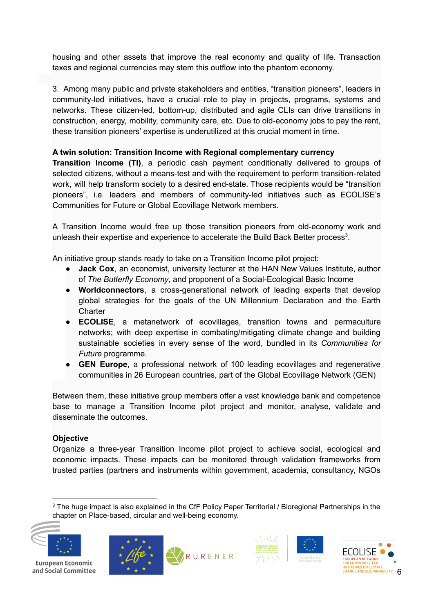housing and other assets that improve the real economy and quality of life. Transaction taxes and regional currencies may stem this outflow into the phantom economy.

3. Among many public and private stakeholders and entities, "transition pioneers", leaders in community-led initiatives, have a crucial role to play in projects, programs, systems and networks. These citizen-led, bottom-up, distributed and agile CLIs can drive transitions in construction, energy, mobility, community care, etc. Due to old-economy jobs to pay the rent, these transition pioneers' expertise is underutilized at this crucial moment in time.

# **A twin solution: Transition Income with Regional complementary currency**

**Transition Income (TI)**, a periodic cash payment conditionally delivered to groups of selected citizens, without a means-test and with the requirement to perform transition-related work, will help transform society to a desired end-state. Those recipients would be "transition pioneers", i.e. leaders and members of community-led initiatives such as ECOLISE's Communities for Future or Global Ecovillage Network members.

A Transition Income would free up those transition pioneers from old-economy work and unleash their expertise and experience to accelerate the Build Back Better process<sup>3</sup>.

An initiative group stands ready to take on a Transition Income pilot project:

- **Jack Cox**, an economist, university lecturer at the HAN New Values Institute, author of *The Butterfly Economy*, and proponent of a Social-Ecological Basic Income
- **Worldconnectors**, a cross-generational network of leading experts that develop global strategies for the goals of the UN Millennium Declaration and the Earth **Charter**
- **ECOLISE**, a metanetwork of ecovillages, transition towns and permaculture networks; with deep expertise in combating/mitigating climate change and building sustainable societies in every sense of the word, bundled in its *Communities for Future* programme.
- **GEN Europe**, a professional network of 100 leading ecovillages and regenerative communities in 26 European countries, part of the Global Ecovillage Network (GEN)

Between them, these initiative group members offer a vast knowledge bank and competence base to manage a Transition Income pilot project and monitor, analyse, validate and disseminate the outcomes.

# **Objective**

Organize a three-year Transition Income pilot project to achieve social, ecological and economic impacts. These impacts can be monitored through validation frameworks from trusted parties (partners and instruments within government, academia, consultancy, NGOs

<sup>&</sup>lt;sup>3</sup> The huge impact is also explained in the CfF Policy Paper Territorial / Bioregional Partnerships in the chapter on Place-based, circular and well-being economy.









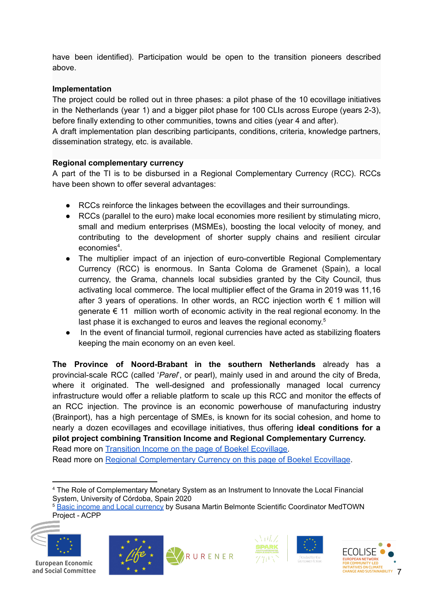have been identified). Participation would be open to the transition pioneers described above.

# **Implementation**

The project could be rolled out in three phases: a pilot phase of the 10 ecovillage initiatives in the Netherlands (year 1) and a bigger pilot phase for 100 CLIs across Europe (years 2-3), before finally extending to other communities, towns and cities (year 4 and after).

A draft implementation plan describing participants, conditions, criteria, knowledge partners, dissemination strategy, etc. is available.

# **Regional complementary currency**

A part of the TI is to be disbursed in a Regional Complementary Currency (RCC). RCCs have been shown to offer several advantages:

- RCCs reinforce the linkages between the ecovillages and their surroundings.
- RCCs (parallel to the euro) make local economies more resilient by stimulating micro, small and medium enterprises (MSMEs), boosting the local velocity of money, and contributing to the development of shorter supply chains and resilient circular economies 4 .
- The multiplier impact of an injection of euro-convertible Regional Complementary Currency (RCC) is enormous. In Santa Coloma de Gramenet (Spain), a local currency, the Grama, channels local subsidies granted by the City Council, thus activating local commerce. The local multiplier effect of the Grama in 2019 was 11,16 after 3 years of operations. In other words, an RCC injection worth  $\epsilon$  1 million will generate  $\epsilon$  11 million worth of economic activity in the real regional economy. In the last phase it is exchanged to euros and leaves the regional economy.<sup>5</sup>
- In the event of financial turmoil, regional currencies have acted as stabilizing floaters keeping the main economy on an even keel.

**The Province of Noord-Brabant in the southern Netherlands** already has a provincial-scale RCC (called '*Parel*', or pearl), mainly used in and around the city of Breda, where it originated. The well-designed and professionally managed local currency infrastructure would offer a reliable platform to scale up this RCC and monitor the effects of an RCC injection. The province is an economic powerhouse of manufacturing industry (Brainport), has a high percentage of SMEs, is known for its social cohesion, and home to nearly a dozen ecovillages and ecovillage initiatives, thus offering **ideal conditions for a pilot project combining Transition Income and Regional Complementary Currency.** Read more on Transition Income on the page of Boekel [Ecovillage.](https://www.ecodorpboekel.nl/transition-income/)

Read more on Regional [Complementary](https://www.ecodorpboekel.nl/regional-complementary-currency/) Currency on this page of Boekel Ecovillage.

<sup>5</sup> Basic income and Local [currency](https://basicincomefair.gg.go.kr/pdf/608a8c2e4563b.pdf) by Susana Martin Belmonte Scientific Coordinator MedTOWN Project - ACPP











<sup>4</sup> The Role of Complementary Monetary System as an Instrument to Innovate the Local Financial System, University of Córdoba, Spain 2020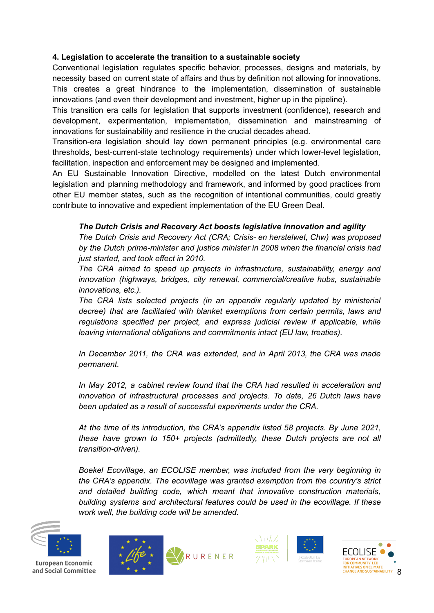# **4. Legislation to accelerate the transition to a sustainable society**

Conventional legislation regulates specific behavior, processes, designs and materials, by necessity based on current state of affairs and thus by definition not allowing for innovations. This creates a great hindrance to the implementation, dissemination of sustainable innovations (and even their development and investment, higher up in the pipeline).

This transition era calls for legislation that supports investment (confidence), research and development, experimentation, implementation, dissemination and mainstreaming of innovations for sustainability and resilience in the crucial decades ahead.

Transition-era legislation should lay down permanent principles (e.g. environmental care thresholds, best-current-state technology requirements) under which lower-level legislation, facilitation, inspection and enforcement may be designed and implemented.

An EU Sustainable Innovation Directive, modelled on the latest Dutch environmental legislation and planning methodology and framework, and informed by good practices from other EU member states, such as the recognition of intentional communities, could greatly contribute to innovative and expedient implementation of the EU Green Deal.

# *The Dutch Crisis and Recovery Act boosts legislative innovation and agility*

*The Dutch Crisis and Recovery Act (CRA; Crisis- en herstelwet, Chw) was proposed by the Dutch prime-minister and justice minister in 2008 when the financial crisis had just started, and took effect in 2010.*

*The CRA aimed to speed up projects in infrastructure, sustainability, energy and innovation (highways, bridges, city renewal, commercial/creative hubs, sustainable innovations, etc.).*

*The CRA lists selected projects (in an appendix regularly updated by ministerial decree) that are facilitated with blanket exemptions from certain permits, laws and regulations specified per project, and express judicial review if applicable, while leaving international obligations and commitments intact (EU law, treaties).*

*In December 2011, the CRA was extended, and in April 2013, the CRA was made permanent.*

*In May 2012, a cabinet review found that the CRA had resulted in acceleration and innovation of infrastructural processes and projects. To date, 26 Dutch laws have been updated as a result of successful experiments under the CRA.*

*At the time of its introduction, the CRA's appendix listed 58 projects. By June 2021, these have grown to 150+ projects (admittedly, these Dutch projects are not all transition-driven).*

*Boekel Ecovillage, an ECOLISE member, was included from the very beginning in the CRA's appendix. The ecovillage was granted exemption from the country's strict and detailed building code, which meant that innovative construction materials, building systems and architectural features could be used in the ecovillage. If these work well, the building code will be amended.*